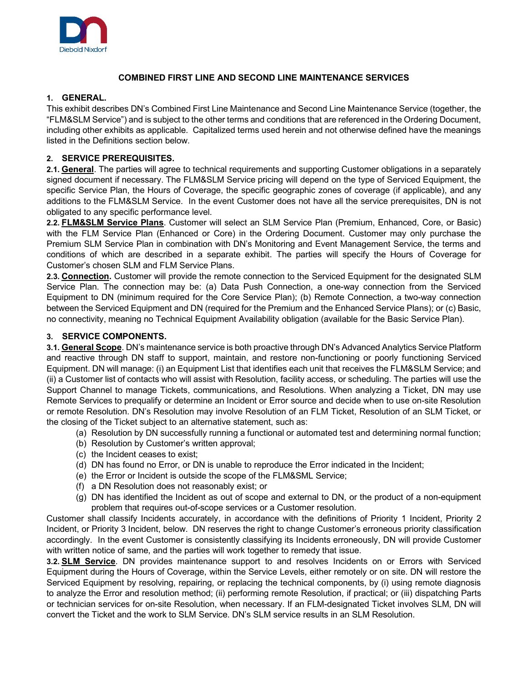

### **COMBINED FIRST LINE AND SECOND LINE MAINTENANCE SERVICES**

### **1. GENERAL.**

This exhibit describes DN's Combined First Line Maintenance and Second Line Maintenance Service (together, the "FLM&SLM Service") and is subject to the other terms and conditions that are referenced in the Ordering Document, including other exhibits as applicable. Capitalized terms used herein and not otherwise defined have the meanings listed in the Definitions section below.

### **2. SERVICE PREREQUISITES.**

**2.1. General**. The parties will agree to technical requirements and supporting Customer obligations in a separately signed document if necessary. The FLM&SLM Service pricing will depend on the type of Serviced Equipment, the specific Service Plan, the Hours of Coverage, the specific geographic zones of coverage (if applicable), and any additions to the FLM&SLM Service. In the event Customer does not have all the service prerequisites, DN is not obligated to any specific performance level.

**2.2. FLM&SLM Service Plans**. Customer will select an SLM Service Plan (Premium, Enhanced, Core, or Basic) with the FLM Service Plan (Enhanced or Core) in the Ordering Document. Customer may only purchase the Premium SLM Service Plan in combination with DN's Monitoring and Event Management Service, the terms and conditions of which are described in a separate exhibit. The parties will specify the Hours of Coverage for Customer's chosen SLM and FLM Service Plans.

**2.3. Connection.** Customer will provide the remote connection to the Serviced Equipment for the designated SLM Service Plan. The connection may be: (a) Data Push Connection, a one-way connection from the Serviced Equipment to DN (minimum required for the Core Service Plan); (b) Remote Connection, a two-way connection between the Serviced Equipment and DN (required for the Premium and the Enhanced Service Plans); or (c) Basic, no connectivity, meaning no Technical Equipment Availability obligation (available for the Basic Service Plan).

### **3. SERVICE COMPONENTS.**

**3.1. General Scope**. DN's maintenance service is both proactive through DN's Advanced Analytics Service Platform and reactive through DN staff to support, maintain, and restore non-functioning or poorly functioning Serviced Equipment. DN will manage: (i) an Equipment List that identifies each unit that receives the FLM&SLM Service; and (ii) a Customer list of contacts who will assist with Resolution, facility access, or scheduling. The parties will use the Support Channel to manage Tickets, communications, and Resolutions. When analyzing a Ticket, DN may use Remote Services to prequalify or determine an Incident or Error source and decide when to use on-site Resolution or remote Resolution. DN's Resolution may involve Resolution of an FLM Ticket, Resolution of an SLM Ticket, or the closing of the Ticket subject to an alternative statement, such as:

- (a) Resolution by DN successfully running a functional or automated test and determining normal function;
- (b) Resolution by Customer's written approval;
- (c) the Incident ceases to exist;
- (d) DN has found no Error, or DN is unable to reproduce the Error indicated in the Incident;
- (e) the Error or Incident is outside the scope of the FLM&SML Service;
- (f) a DN Resolution does not reasonably exist; or
- (g) DN has identified the Incident as out of scope and external to DN, or the product of a non-equipment problem that requires out-of-scope services or a Customer resolution.

Customer shall classify Incidents accurately, in accordance with the definitions of Priority 1 Incident, Priority 2 Incident, or Priority 3 Incident, below. DN reserves the right to change Customer's erroneous priority classification accordingly. In the event Customer is consistently classifying its Incidents erroneously, DN will provide Customer with written notice of same, and the parties will work together to remedy that issue.

**3.2. SLM Service**. DN provides maintenance support to and resolves Incidents on or Errors with Serviced Equipment during the Hours of Coverage, within the Service Levels, either remotely or on site. DN will restore the Serviced Equipment by resolving, repairing, or replacing the technical components, by (i) using remote diagnosis to analyze the Error and resolution method; (ii) performing remote Resolution, if practical; or (iii) dispatching Parts or technician services for on-site Resolution, when necessary. If an FLM-designated Ticket involves SLM, DN will convert the Ticket and the work to SLM Service. DN's SLM service results in an SLM Resolution.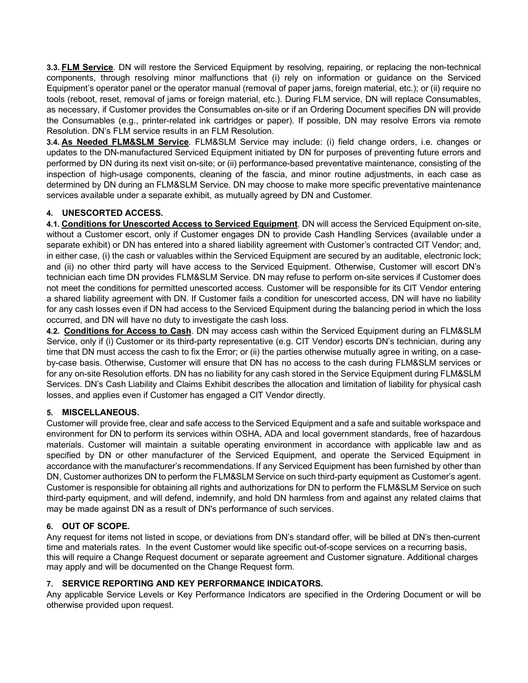**3.3. FLM Service**. DN will restore the Serviced Equipment by resolving, repairing, or replacing the non-technical components, through resolving minor malfunctions that (i) rely on information or guidance on the Serviced Equipment's operator panel or the operator manual (removal of paper jams, foreign material, etc.); or (ii) require no tools (reboot, reset, removal of jams or foreign material, etc.). During FLM service, DN will replace Consumables, as necessary, if Customer provides the Consumables on-site or if an Ordering Document specifies DN will provide the Consumables (e.g., printer-related ink cartridges or paper). If possible, DN may resolve Errors via remote Resolution. DN's FLM service results in an FLM Resolution.

**3.4. As Needed FLM&SLM Service**. FLM&SLM Service may include: (i) field change orders, i.e. changes or updates to the DN-manufactured Serviced Equipment initiated by DN for purposes of preventing future errors and performed by DN during its next visit on-site; or (ii) performance-based preventative maintenance, consisting of the inspection of high-usage components, cleaning of the fascia, and minor routine adjustments, in each case as determined by DN during an FLM&SLM Service. DN may choose to make more specific preventative maintenance services available under a separate exhibit, as mutually agreed by DN and Customer.

# **4. UNESCORTED ACCESS.**

**4.1. Conditions for Unescorted Access to Serviced Equipment**. DN will access the Serviced Equipment on-site, without a Customer escort, only if Customer engages DN to provide Cash Handling Services (available under a separate exhibit) or DN has entered into a shared liability agreement with Customer's contracted CIT Vendor; and, in either case, (i) the cash or valuables within the Serviced Equipment are secured by an auditable, electronic lock; and (ii) no other third party will have access to the Serviced Equipment. Otherwise, Customer will escort DN's technician each time DN provides FLM&SLM Service. DN may refuse to perform on-site services if Customer does not meet the conditions for permitted unescorted access. Customer will be responsible for its CIT Vendor entering a shared liability agreement with DN. If Customer fails a condition for unescorted access, DN will have no liability for any cash losses even if DN had access to the Serviced Equipment during the balancing period in which the loss occurred, and DN will have no duty to investigate the cash loss.

**4.2. Conditions for Access to Cash**. DN may access cash within the Serviced Equipment during an FLM&SLM Service, only if (i) Customer or its third-party representative (e.g. CIT Vendor) escorts DN's technician, during any time that DN must access the cash to fix the Error; or (ii) the parties otherwise mutually agree in writing, on a caseby-case basis. Otherwise, Customer will ensure that DN has no access to the cash during FLM&SLM services or for any on-site Resolution efforts. DN has no liability for any cash stored in the Service Equipment during FLM&SLM Services. DN's Cash Liability and Claims Exhibit describes the allocation and limitation of liability for physical cash losses, and applies even if Customer has engaged a CIT Vendor directly.

### **5. MISCELLANEOUS.**

Customer will provide free, clear and safe access to the Serviced Equipment and a safe and suitable workspace and environment for DN to perform its services within OSHA, ADA and local government standards, free of hazardous materials. Customer will maintain a suitable operating environment in accordance with applicable law and as specified by DN or other manufacturer of the Serviced Equipment, and operate the Serviced Equipment in accordance with the manufacturer's recommendations. If any Serviced Equipment has been furnished by other than DN, Customer authorizes DN to perform the FLM&SLM Service on such third-party equipment as Customer's agent. Customer is responsible for obtaining all rights and authorizations for DN to perform the FLM&SLM Service on such third-party equipment, and will defend, indemnify, and hold DN harmless from and against any related claims that may be made against DN as a result of DN's performance of such services.

# **6. OUT OF SCOPE.**

Any request for items not listed in scope, or deviations from DN's standard offer, will be billed at DN's then-current time and materials rates. In the event Customer would like specific out-of-scope services on a recurring basis, this will require a Change Request document or separate agreement and Customer signature. Additional charges may apply and will be documented on the Change Request form.

# **7. SERVICE REPORTING AND KEY PERFORMANCE INDICATORS.**

Any applicable Service Levels or Key Performance Indicators are specified in the Ordering Document or will be otherwise provided upon request.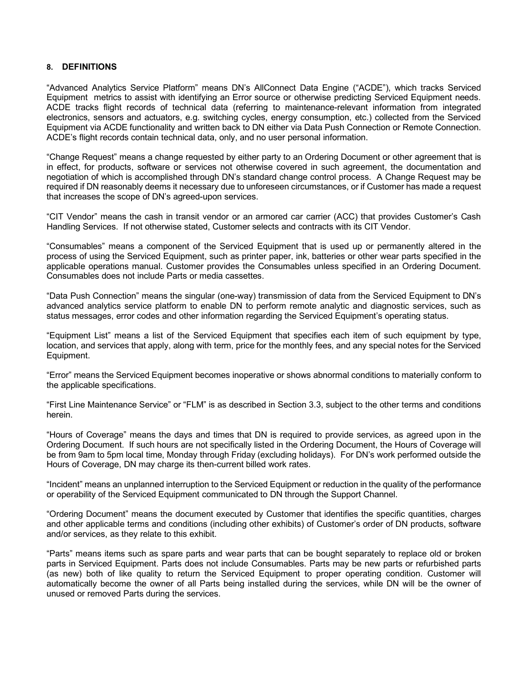#### **8. DEFINITIONS**

"Advanced Analytics Service Platform" means DN's AllConnect Data Engine ("ACDE"), which tracks Serviced Equipment metrics to assist with identifying an Error source or otherwise predicting Serviced Equipment needs. ACDE tracks flight records of technical data (referring to maintenance-relevant information from integrated electronics, sensors and actuators, e.g. switching cycles, energy consumption, etc.) collected from the Serviced Equipment via ACDE functionality and written back to DN either via Data Push Connection or Remote Connection. ACDE's flight records contain technical data, only, and no user personal information.

"Change Request" means a change requested by either party to an Ordering Document or other agreement that is in effect, for products, software or services not otherwise covered in such agreement, the documentation and negotiation of which is accomplished through DN's standard change control process. A Change Request may be required if DN reasonably deems it necessary due to unforeseen circumstances, or if Customer has made a request that increases the scope of DN's agreed-upon services.

"CIT Vendor" means the cash in transit vendor or an armored car carrier (ACC) that provides Customer's Cash Handling Services. If not otherwise stated, Customer selects and contracts with its CIT Vendor.

"Consumables" means a component of the Serviced Equipment that is used up or permanently altered in the process of using the Serviced Equipment, such as printer paper, ink, batteries or other wear parts specified in the applicable operations manual. Customer provides the Consumables unless specified in an Ordering Document. Consumables does not include Parts or media cassettes.

"Data Push Connection" means the singular (one-way) transmission of data from the Serviced Equipment to DN's advanced analytics service platform to enable DN to perform remote analytic and diagnostic services, such as status messages, error codes and other information regarding the Serviced Equipment's operating status.

"Equipment List" means a list of the Serviced Equipment that specifies each item of such equipment by type, location, and services that apply, along with term, price for the monthly fees, and any special notes for the Serviced Equipment.

"Error" means the Serviced Equipment becomes inoperative or shows abnormal conditions to materially conform to the applicable specifications.

"First Line Maintenance Service" or "FLM" is as described in Section 3.3, subject to the other terms and conditions herein.

"Hours of Coverage" means the days and times that DN is required to provide services, as agreed upon in the Ordering Document. If such hours are not specifically listed in the Ordering Document, the Hours of Coverage will be from 9am to 5pm local time, Monday through Friday (excluding holidays). For DN's work performed outside the Hours of Coverage, DN may charge its then-current billed work rates.

"Incident" means an unplanned interruption to the Serviced Equipment or reduction in the quality of the performance or operability of the Serviced Equipment communicated to DN through the Support Channel.

"Ordering Document" means the document executed by Customer that identifies the specific quantities, charges and other applicable terms and conditions (including other exhibits) of Customer's order of DN products, software and/or services, as they relate to this exhibit.

"Parts" means items such as spare parts and wear parts that can be bought separately to replace old or broken parts in Serviced Equipment. Parts does not include Consumables. Parts may be new parts or refurbished parts (as new) both of like quality to return the Serviced Equipment to proper operating condition. Customer will automatically become the owner of all Parts being installed during the services, while DN will be the owner of unused or removed Parts during the services.